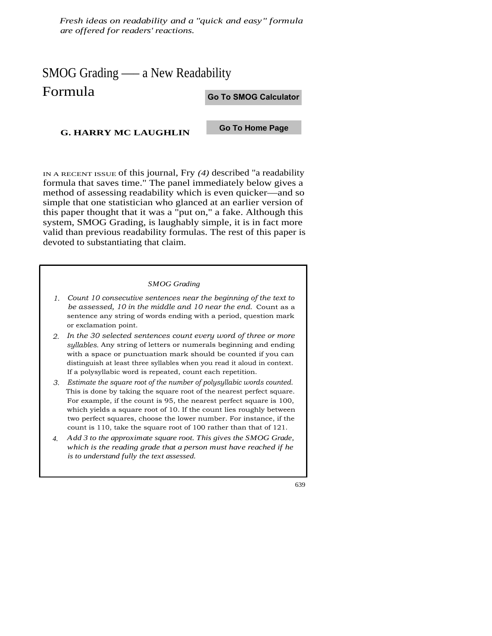*Fresh ideas on readability and a "quick and easy" formula are offered for readers' reactions.*

# SMOG Grading —– a New Readability Formula

**Go To SMOG Calculator**

## **G. HARRY MC LAUGHLIN**

**Go To Home Page**

IN A RECENT ISSUE of this journal, Fry *(4)* described "a readability formula that saves time." The panel immediately below gives a method of assessing readability which is even quicker—and so simple that one statistician who glanced at an earlier version of this paper thought that it was a "put on," a fake. Although this system, SMOG Grading, is laughably simple, it is in fact more valid than previous readability formulas. The rest of this paper is devoted to substantiating that claim.

### *SMOG Grading*

- *1. Count 10 consecutive sentences near the beginning of the text to be assessed, 10 in the middle and 10 near the end.* Count as a sentence any string of words ending with a period, question mark or exclamation point.
- *2. In the 30 selected sentences count every word of three or more syllables.* Any string of letters or numerals beginning and ending with a space or punctuation mark should be counted if you can distinguish at least three syllables when you read it aloud in context. If a polysyllabic word is repeated, count each repetition.
- *3. Estimate the square root of the number of polysyllabic words counted.* This is done by taking the square root of the nearest perfect square. For example, if the count is 95, the nearest perfect square is 100, which yields a square root of 10. If the count lies roughly between two perfect squares, choose the lower number. For instance, if the count is 110, take the square root of 100 rather than that of 121.
- *4. Add 3 to the approximate square root. This gives the SMOG Grade, which is the reading grade that a person must have reached if he is to understand fully the text assessed.*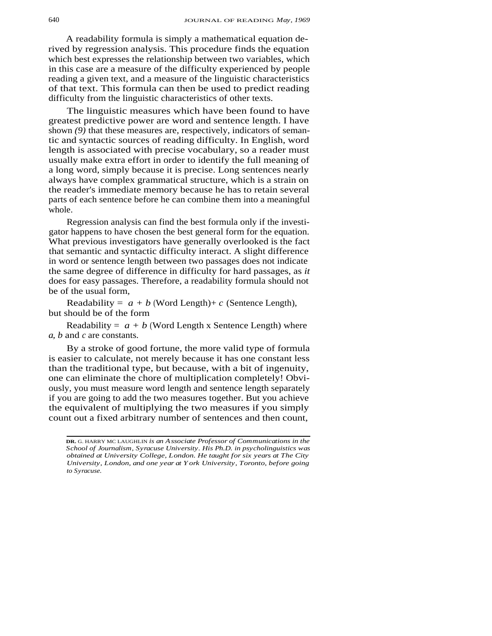A readability formula is simply a mathematical equation derived by regression analysis. This procedure finds the equation which best expresses the relationship between two variables, which in this case are a measure of the difficulty experienced by people reading a given text, and a measure of the linguistic characteristics of that text. This formula can then be used to predict reading difficulty from the linguistic characteristics of other texts.

The linguistic measures which have been found to have greatest predictive power are word and sentence length. I have shown (9) that these measures are, respectively, indicators of semantic and syntactic sources of reading difficulty. In English, word length is associated with precise vocabulary, so a reader must usually make extra effort in order to identify the full meaning of a long word, simply because it is precise. Long sentences nearly always have complex grammatical structure, which is a strain on the reader's immediate memory because he has to retain several parts of each sentence before he can combine them into a meaningful whole.

Regression analysis can find the best formula only if the investigator happens to have chosen the best general form for the equation. What previous investigators have generally overlooked is the fact that semantic and syntactic difficulty interact. A slight difference in word or sentence length between two passages does not indicate the same degree of difference in difficulty for hard passages, as *it* does for easy passages. Therefore, a readability formula should not be of the usual form,

Readability =  $a + b$  (Word Length)+  $c$  (Sentence Length), but should be of the form

Readability =  $a + b$  (Word Length x Sentence Length) where *a, b* and *c* are constants.

By a stroke of good fortune, the more valid type of formula is easier to calculate, not merely because it has one constant less than the traditional type, but because, with a bit of ingenuity, one can eliminate the chore of multiplication completely! Obviously, you must measure word length and sentence length separately if you are going to add the two measures together. But you achieve the equivalent of multiplying the two measures if you simply count out a fixed arbitrary number of sentences and then count,

**DR.** G. HARRY MC LAUGHLIN *is an Associate Professor of Communications in the School of Journalism, Syracuse University. His Ph.D. in psycholinguistics was obtained at University College, London. He taught for six years at The City University, London, and one year at York University, Toronto, before going to Syracuse.*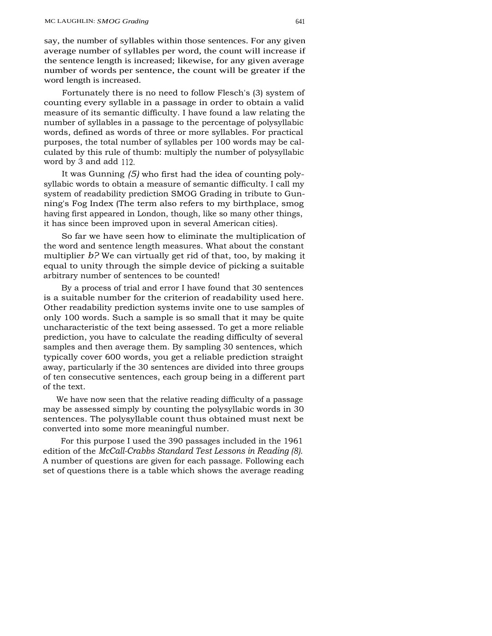say, the number of syllables within those sentences. For any given average number of syllables per word, the count will increase if the sentence length is increased; likewise, for any given average number of words per sentence, the count will be greater if the word length is increased.

Fortunately there is no need to follow Flesch's (3) system of counting every syllable in a passage in order to obtain a valid measure of its semantic difficulty. I have found a law relating the number of syllables in a passage to the percentage of polysyllabic words, defined as words of three or more syllables. For practical purposes, the total number of syllables per 100 words may be calculated by this rule of thumb: multiply the number of polysyllabic word by 3 and add 112.

It was Gunning *(5)* who first had the idea of counting polysyllabic words to obtain a measure of semantic difficulty. I call my system of readability prediction SMOG Grading in tribute to Gunning's Fog Index (The term also refers to my birthplace, smog having first appeared in London, though, like so many other things, it has since been improved upon in several American cities).

So far we have seen how to eliminate the multiplication of the word and sentence length measures. What about the constant multiplier *b?* We can virtually get rid of that, too, by making it equal to unity through the simple device of picking a suitable arbitrary number of sentences to be counted!

By a process of trial and error I have found that 30 sentences is a suitable number for the criterion of readability used here. Other readability prediction systems invite one to use samples of only 100 words. Such a sample is so small that it may be quite uncharacteristic of the text being assessed. To get a more reliable prediction, you have to calculate the reading difficulty of several samples and then average them. By sampling 30 sentences, which typically cover 600 words, you get a reliable prediction straight away, particularly if the 30 sentences are divided into three groups of ten consecutive sentences, each group being in a different part of the text.

We have now seen that the relative reading difficulty of a passage may be assessed simply by counting the polysyllabic words in 30 sentences. The polysyllable count thus obtained must next be converted into some more meaningful number.

For this purpose I used the 390 passages included in the 1961 edition of the *McCall-Crabbs Standard Test Lessons in Reading (8).* A number of questions are given for each passage. Following each set of questions there is a table which shows the average reading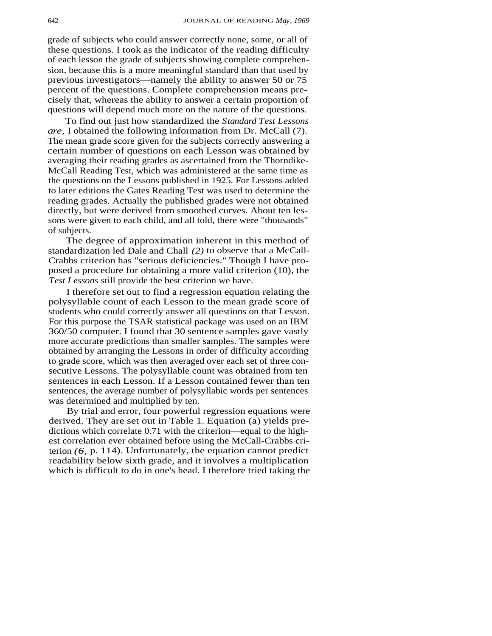grade of subjects who could answer correctly none, some, or all of these questions. I took as the indicator of the reading difficulty of each lesson the grade of subjects showing complete comprehension, because this is a more meaningful standard than that used by previous investigators—namely the ability to answer 50 or 75 percent of the questions. Complete comprehension means precisely that, whereas the ability to answer a certain proportion of questions will depend much more on the nature of the questions.

To find out just how standardized the *Standard Test Lessons are,* I obtained the following information from Dr. McCall (7). The mean grade score given for the subjects correctly answering a certain number of questions on each Lesson was obtained by averaging their reading grades as ascertained from the Thorndike-McCall Reading Test, which was administered at the same time as the questions on the Lessons published in 1925. For Lessons added to later editions the Gates Reading Test was used to determine the reading grades. Actually the published grades were not obtained directly, but were derived from smoothed curves. About ten lessons were given to each child, and all told, there were "thousands" of subjects.

The degree of approximation inherent in this method of standardization led Dale and Chall *(2)* to observe that a McCall-Crabbs criterion has "serious deficiencies." Though I have proposed a procedure for obtaining a more valid criterion (10), the *Test Lessons* still provide the best criterion we have.

I therefore set out to find a regression equation relating the polysyllable count of each Lesson to the mean grade score of students who could correctly answer all questions on that Lesson. For this purpose the TSAR statistical package was used on an IBM 360/50 computer. I found that 30 sentence samples gave vastly more accurate predictions than smaller samples. The samples were obtained by arranging the Lessons in order of difficulty according to grade score, which was then averaged over each set of three consecutive Lessons. The polysyllable count was obtained from ten sentences in each Lesson. If a Lesson contained fewer than ten sentences, the average number of polysyllabic words per sentences was determined and multiplied by ten.

By trial and error, four powerful regression equations were derived. They are set out in Table 1. Equation (a) yields predictions which correlate 0.71 with the criterion—equal to the highest correlation ever obtained before using the McCall-Crabbs criterion *(6,* p. 114). Unfortunately, the equation cannot predict readability below sixth grade, and it involves a multiplication which is difficult to do in one's head. I therefore tried taking the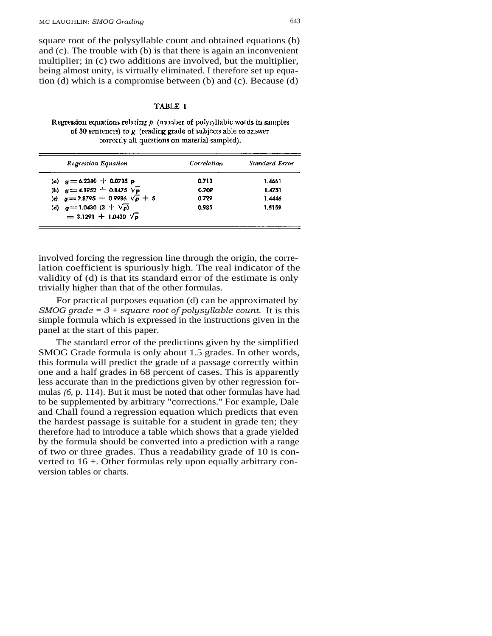square root of the polysyllable count and obtained equations (b) and (c). The trouble with (b) is that there is again an inconvenient multiplier; in (c) two additions are involved, but the multiplier, being almost unity, is virtually eliminated. I therefore set up equation (d) which is a compromise between (b) and (c). Because (d)

#### TABLE 1

Regression equations relating  $p$  (number of polysyllabic words in samples of 30 sentences) to  $g$  (reading grade of subjects able to answer correctly all questions on material sampled).

| Regression Equation                                               | Correlation | Standard Error |
|-------------------------------------------------------------------|-------------|----------------|
| (a) $g = 6.2380 + 0.0785$ p                                       | 0.713       | 1.4661         |
| (b) $g = 4.1952 + 0.8475 \sqrt{p}$                                | 0.709       | 1.4751         |
| (c) $g = 2.8795 + 0.9986 \sqrt{p} + 5$                            | 0.729       | 1.4446         |
| (d) $g = 1.0430 (3 + \sqrt{p})$<br>$=$ 3.1291 + 1.0430 $\sqrt{p}$ | 0.985       | 1.5159         |

involved forcing the regression line through the origin, the correlation coefficient is spuriously high. The real indicator of the validity of (d) is that its standard error of the estimate is only trivially higher than that of the other formulas.

For practical purposes equation (d) can be approximated by *SMOG grade = 3 + square root of polysyllable count.* It is this simple formula which is expressed in the instructions given in the panel at the start of this paper.

The standard error of the predictions given by the simplified SMOG Grade formula is only about 1.5 grades. In other words, this formula will predict the grade of a passage correctly within one and a half grades in 68 percent of cases. This is apparently less accurate than in the predictions given by other regression formulas *(6,* p. 114). But it must be noted that other formulas have had to be supplemented by arbitrary "corrections." For example, Dale and Chall found a regression equation which predicts that even the hardest passage is suitable for a student in grade ten; they therefore had to introduce a table which shows that a grade yielded by the formula should be converted into a prediction with a range of two or three grades. Thus a readability grade of 10 is converted to 16 +. Other formulas rely upon equally arbitrary conversion tables or charts.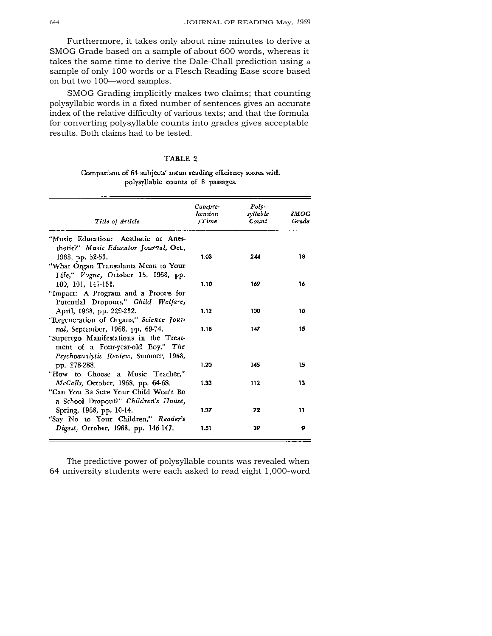Furthermore, it takes only about nine minutes to derive a SMOG Grade based on a sample of about 600 words, whereas it takes the same time to derive the Dale-Chall prediction using a sample of only 100 words or a Flesch Reading Ease score based on but two 100—word samples.

SMOG Grading implicitly makes two claims; that counting polysyllabic words in a fixed number of sentences gives an accurate index of the relative difficulty of various texts; and that the formula for converting polysyllable counts into grades gives acceptable results. Both claims had to be tested.

| Title of Article                                                                                       | Compre-<br>hension<br>/Time | Poly-<br>syllable<br>Count | SMOG<br>Grade |
|--------------------------------------------------------------------------------------------------------|-----------------------------|----------------------------|---------------|
| "Music Education: Aesthetic or Anes-                                                                   |                             |                            |               |
| thetic?" Music Educator Journal, Oct.,                                                                 |                             |                            |               |
| 1968, pp. 52-53.                                                                                       | 1.03                        | 244                        | 18            |
| "What Organ Transplants Mean to Your                                                                   |                             |                            |               |
| Life," Vogue, October 15, 1968, pp.                                                                    |                             |                            |               |
| 100, 101, 147-151.                                                                                     | 1.10                        | 169                        | 16            |
| "Impact: A Program and a Process for                                                                   |                             |                            |               |
| Potential Dropouts," Child Welfare,                                                                    |                             |                            |               |
| April, 1968, pp. 229-232.                                                                              | 1.12                        | 150                        | 15            |
| "Regeneration of Organs," Science Jour-                                                                |                             |                            |               |
| nal, September, 1968, pp. 69-74.                                                                       | 1.18                        | 147                        | 15            |
| "Superego Manifestations in the Treat-                                                                 |                             |                            |               |
| ment of a Four-year-old Boy," The                                                                      |                             |                            |               |
| Psychoanalytic Review, Summer, 1968,                                                                   | 1.20                        | 145                        | 15            |
| pp. 278-288.<br>"How to Choose a Music Teacher."                                                       |                             |                            |               |
|                                                                                                        | 1.33                        | 112                        | 13            |
| McCalls, October, 1968, pp. 64-68.<br>"Can You Be Sure Your Child Won't Be                             |                             |                            |               |
|                                                                                                        |                             |                            |               |
| a School Dropout?" Children's House,                                                                   |                             |                            | 11            |
|                                                                                                        |                             |                            |               |
|                                                                                                        |                             |                            | 9             |
| Spring, 1968, pp. 10-14.<br>"Say No to Your Children," Reader's<br>Digest, October, 1968, pp. 145-147. | 1.37<br>1.51                | 72<br>39                   |               |

TABLE 2

Comparison of 64 subjects' mean reading efficiency scores with polysyllable counts of 8 passages.

The predictive power of polysyllable counts was revealed when 64 university students were each asked to read eight 1,000-word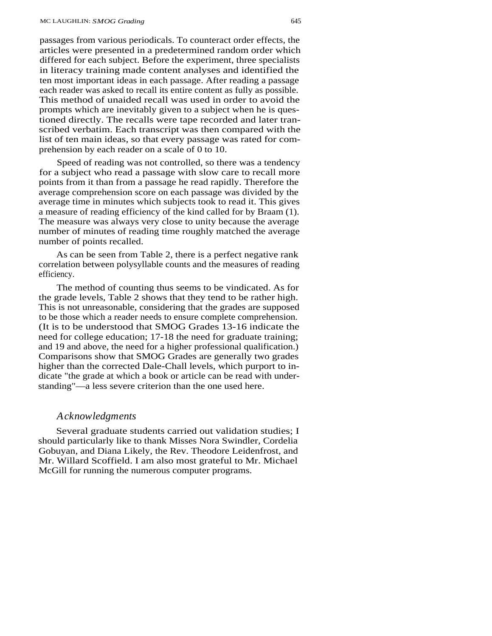passages from various periodicals. To counteract order effects, the articles were presented in a predetermined random order which differed for each subject. Before the experiment, three specialists in literacy training made content analyses and identified the ten most important ideas in each passage. After reading a passage each reader was asked to recall its entire content as fully as possible. This method of unaided recall was used in order to avoid the prompts which are inevitably given to a subject when he is questioned directly. The recalls were tape recorded and later transcribed verbatim. Each transcript was then compared with the list of ten main ideas, so that every passage was rated for comprehension by each reader on a scale of 0 to 10.

Speed of reading was not controlled, so there was a tendency for a subject who read a passage with slow care to recall more points from it than from a passage he read rapidly. Therefore the average comprehension score on each passage was divided by the average time in minutes which subjects took to read it. This gives a measure of reading efficiency of the kind called for by Braam (1). The measure was always very close to unity because the average number of minutes of reading time roughly matched the average number of points recalled.

As can be seen from Table 2, there is a perfect negative rank correlation between polysyllable counts and the measures of reading efficiency.

The method of counting thus seems to be vindicated. As for the grade levels, Table 2 shows that they tend to be rather high. This is not unreasonable, considering that the grades are supposed to be those which a reader needs to ensure complete comprehension. (It is to be understood that SMOG Grades 13-16 indicate the need for college education; 17-18 the need for graduate training; and 19 and above, the need for a higher professional qualification.) Comparisons show that SMOG Grades are generally two grades higher than the corrected Dale-Chall levels, which purport to indicate "the grade at which a book or article can be read with understanding"—a less severe criterion than the one used here.

## *Acknowledgments*

Several graduate students carried out validation studies; I should particularly like to thank Misses Nora Swindler, Cordelia Gobuyan, and Diana Likely, the Rev. Theodore Leidenfrost, and Mr. Willard Scoffield. I am also most grateful to Mr. Michael McGill for running the numerous computer programs.